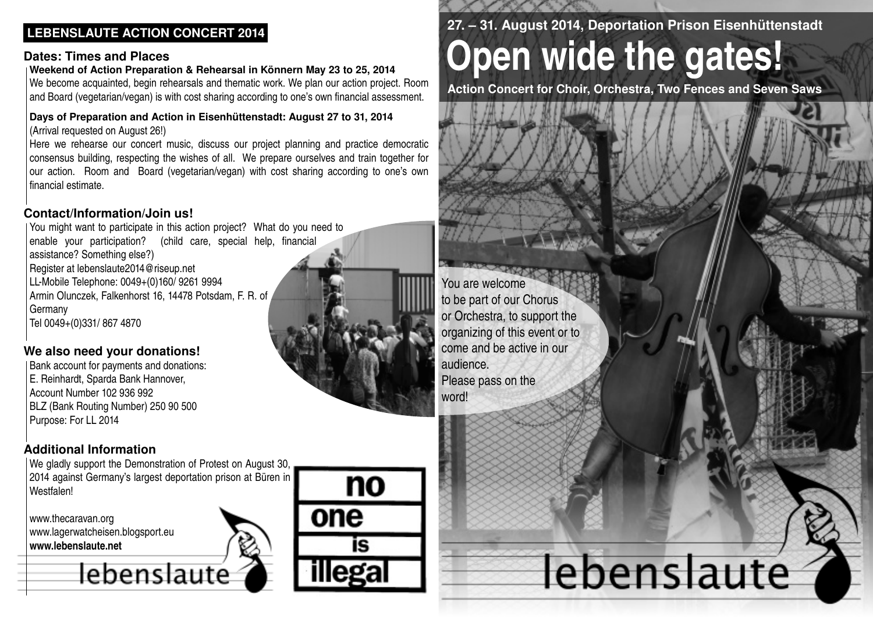## **LEBENSLAUTE ACTION CONCERT 2014**

#### **Dates: Times and Places**

#### **Weekend of Action Preparation & Rehearsal in Könnern May 23 to 25, 2014**

We become acquainted, begin rehearsals and thematic work. We plan our action project. Room and Board (vegetarian/vegan) is with cost sharing according to one's own financial assessment.

#### **Days of Preparation and Action in Eisenhüttenstadt: August 27 to 31, 2014** (Arrival requested on August 26!)

Here we rehearse our concert music, discuss our project planning and practice democratic consensus building, respecting the wishes of all. We prepare ourselves and train together for our action. Room and Board (vegetarian/vegan) with cost sharing according to one's own financial estimate.

## **Contact/Information/Join us!**

You might want to participate in this action project? What do you need to enable your participation? (child care, special help, financial assistance? Something else?) Register at lebenslaute2014@riseup.net LLMobile Telephone: 0049+(0)160/ 9261 9994 Armin Olunczek, Falkenhorst 16, 14478 Potsdam, F. R. of Germany Tel 0049+(0)331/ 867 4870

## **We also need your donations!**

Bank account for payments and donations: E. Reinhardt, Sparda Bank Hannover, Account Number 102 936 992 BLZ (Bank Routing Number) 250 90 500 Purpose: For LL 2014

## **Additional Information**

We gladly support the Demonstration of Protest on August 30, 2014 against Germany's largest deportation prison at Büren in **Westfalen!** 

lebenslaute

www.thecaravan.org www.lagerwatcheisen.blogsport.eu **www.lebenslaute.net**



no

İS

one

## **27. – 31. August 2014, Deportation Prison Eisenhüttenstadt**

# **Open wide the gates!**

**Action Concert for Choir, Orchestra, Two Fences and Seven Saws**

You are welcome to be part of our Chorus or Orchestra, to support the organizing of this event or to come and be active in our audience.

Please pass on the word!

# ebenslaute